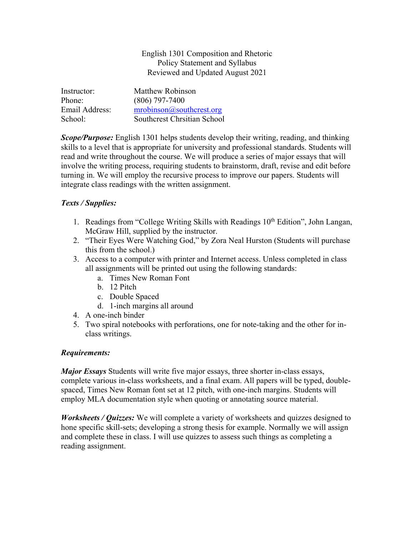#### English 1301 Composition and Rhetoric Policy Statement and Syllabus Reviewed and Updated August 2021

| Instructor:    | Matthew Robinson                   |
|----------------|------------------------------------|
| Phone:         | $(806)$ 797-7400                   |
| Email Address: | $mrobinson(\theta)$ southcrest.org |
| School:        | Southcrest Chrsitian School        |

*Scope/Purpose:* English 1301 helps students develop their writing, reading, and thinking skills to a level that is appropriate for university and professional standards. Students will read and write throughout the course. We will produce a series of major essays that will involve the writing process, requiring students to brainstorm, draft, revise and edit before turning in. We will employ the recursive process to improve our papers. Students will integrate class readings with the written assignment.

### *Texts / Supplies:*

- 1. Readings from "College Writing Skills with Readings  $10<sup>th</sup>$  Edition", John Langan, McGraw Hill, supplied by the instructor.
- 2. "Their Eyes Were Watching God," by Zora Neal Hurston (Students will purchase this from the school.)
- 3. Access to a computer with printer and Internet access. Unless completed in class all assignments will be printed out using the following standards:
	- a. Times New Roman Font
	- b. 12 Pitch
	- c. Double Spaced
	- d. 1-inch margins all around
- 4. A one-inch binder
- 5. Two spiral notebooks with perforations, one for note-taking and the other for inclass writings.

### *Requirements:*

*Major Essays* Students will write five major essays, three shorter in-class essays, complete various in-class worksheets, and a final exam. All papers will be typed, doublespaced, Times New Roman font set at 12 pitch, with one-inch margins. Students will employ MLA documentation style when quoting or annotating source material.

*Worksheets / Quizzes:* We will complete a variety of worksheets and quizzes designed to hone specific skill-sets; developing a strong thesis for example. Normally we will assign and complete these in class. I will use quizzes to assess such things as completing a reading assignment.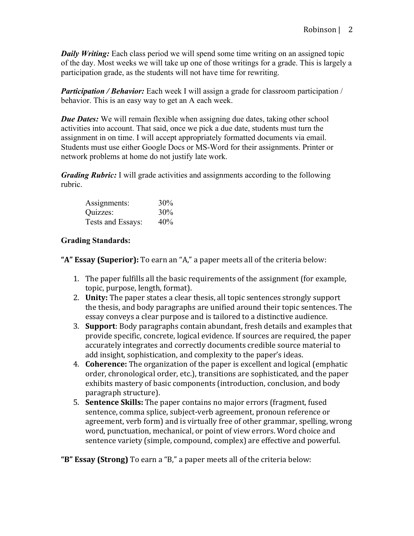*Daily Writing:* Each class period we will spend some time writing on an assigned topic of the day. Most weeks we will take up one of those writings for a grade. This is largely a participation grade, as the students will not have time for rewriting.

*Participation / Behavior:* Each week I will assign a grade for classroom participation / behavior. This is an easy way to get an A each week.

*Due Dates:* We will remain flexible when assigning due dates, taking other school activities into account. That said, once we pick a due date, students must turn the assignment in on time. I will accept appropriately formatted documents via email. Students must use either Google Docs or MS-Word for their assignments. Printer or network problems at home do not justify late work.

*Grading Rubric:* I will grade activities and assignments according to the following rubric.

| Assignments:      | 30% |
|-------------------|-----|
| Quizzes:          | 30% |
| Tests and Essays: | 40% |

## **Grading Standards:**

"A" Essay (Superior): To earn an "A," a paper meets all of the criteria below:

- 1. The paper fulfills all the basic requirements of the assignment (for example, topic, purpose, length, format).
- 2. **Unity:** The paper states a clear thesis, all topic sentences strongly support the thesis, and body paragraphs are unified around their topic sentences. The essay conveys a clear purpose and is tailored to a distinctive audience.
- 3. **Support**: Body paragraphs contain abundant, fresh details and examples that provide specific, concrete, logical evidence. If sources are required, the paper accurately integrates and correctly documents credible source material to add insight, sophistication, and complexity to the paper's ideas.
- 4. **Coherence:** The organization of the paper is excellent and logical (emphatic order, chronological order, etc.), transitions are sophisticated, and the paper exhibits mastery of basic components (introduction, conclusion, and body paragraph structure).
- 5. **Sentence Skills:** The paper contains no major errors (fragment, fused sentence, comma splice, subject-verb agreement, pronoun reference or agreement, verb form) and is virtually free of other grammar, spelling, wrong word, punctuation, mechanical, or point of view errors. Word choice and sentence variety (simple, compound, complex) are effective and powerful.

"B" Essay (Strong) To earn a "B," a paper meets all of the criteria below: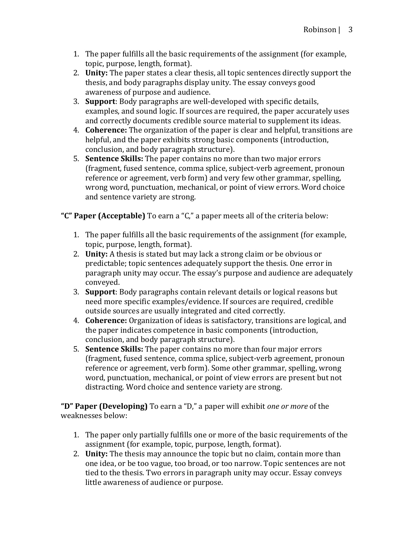- 1. The paper fulfills all the basic requirements of the assignment (for example, topic, purpose, length, format).
- 2. **Unity:** The paper states a clear thesis, all topic sentences directly support the thesis, and body paragraphs display unity. The essay conveys good awareness of purpose and audience.
- 3. **Support**: Body paragraphs are well-developed with specific details, examples, and sound logic. If sources are required, the paper accurately uses and correctly documents credible source material to supplement its ideas.
- 4. **Coherence:** The organization of the paper is clear and helpful, transitions are helpful, and the paper exhibits strong basic components (introduction, conclusion, and body paragraph structure).
- 5. **Sentence Skills:** The paper contains no more than two major errors (fragment, fused sentence, comma splice, subject-verb agreement, pronoun reference or agreement, verb form) and very few other grammar, spelling, wrong word, punctuation, mechanical, or point of view errors. Word choice and sentence variety are strong.

"C" Paper (Acceptable) To earn a "C," a paper meets all of the criteria below:

- 1. The paper fulfills all the basic requirements of the assignment (for example, topic, purpose, length, format).
- 2. **Unity:** A thesis is stated but may lack a strong claim or be obvious or predictable; topic sentences adequately support the thesis. One error in paragraph unity may occur. The essay's purpose and audience are adequately conveyed.
- 3. **Support**: Body paragraphs contain relevant details or logical reasons but need more specific examples/evidence. If sources are required, credible outside sources are usually integrated and cited correctly.
- 4. **Coherence:** Organization of ideas is satisfactory, transitions are logical, and the paper indicates competence in basic components (introduction, conclusion, and body paragraph structure).
- 5. **Sentence Skills:** The paper contains no more than four major errors (fragment, fused sentence, comma splice, subject-verb agreement, pronoun reference or agreement, verb form). Some other grammar, spelling, wrong word, punctuation, mechanical, or point of view errors are present but not distracting. Word choice and sentence variety are strong.

**"D" Paper (Developing)** To earn a "D," a paper will exhibit *one or more* of the weaknesses below:

- 1. The paper only partially fulfills one or more of the basic requirements of the assignment (for example, topic, purpose, length, format).
- 2. **Unity:** The thesis may announce the topic but no claim, contain more than one idea, or be too vague, too broad, or too narrow. Topic sentences are not tied to the thesis. Two errors in paragraph unity may occur. Essay conveys little awareness of audience or purpose.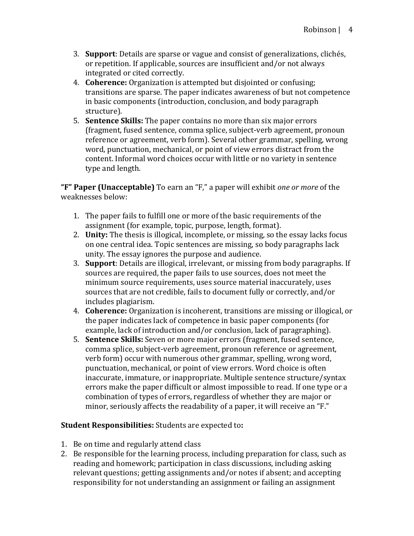- 3. **Support**: Details are sparse or vague and consist of generalizations, clichés, or repetition. If applicable, sources are insufficient and/or not always integrated or cited correctly.
- 4. **Coherence:** Organization is attempted but disjointed or confusing; transitions are sparse. The paper indicates awareness of but not competence in basic components (introduction, conclusion, and body paragraph structure).
- 5. **Sentence Skills:** The paper contains no more than six major errors (fragment, fused sentence, comma splice, subject-verb agreement, pronoun reference or agreement, verb form). Several other grammar, spelling, wrong word, punctuation, mechanical, or point of view errors distract from the content. Informal word choices occur with little or no variety in sentence type and length.

**"F" Paper (Unacceptable)** To earn an "F," a paper will exhibit *one or more* of the weaknesses below:

- 1. The paper fails to fulfill one or more of the basic requirements of the assignment (for example, topic, purpose, length, format).
- 2. **Unity:** The thesis is illogical, incomplete, or missing, so the essay lacks focus on one central idea. Topic sentences are missing, so body paragraphs lack unity. The essay ignores the purpose and audience.
- 3. **Support**: Details are illogical, irrelevant, or missing from body paragraphs. If sources are required, the paper fails to use sources, does not meet the minimum source requirements, uses source material inaccurately, uses sources that are not credible, fails to document fully or correctly, and/or includes plagiarism.
- 4. **Coherence:** Organization is incoherent, transitions are missing or illogical, or the paper indicates lack of competence in basic paper components (for example, lack of introduction and/or conclusion, lack of paragraphing).
- 5. **Sentence Skills:** Seven or more major errors (fragment, fused sentence, comma splice, subject-verb agreement, pronoun reference or agreement, verb form) occur with numerous other grammar, spelling, wrong word, punctuation, mechanical, or point of view errors. Word choice is often inaccurate, immature, or inappropriate. Multiple sentence structure/syntax errors make the paper difficult or almost impossible to read. If one type or a combination of types of errors, regardless of whether they are major or minor, seriously affects the readability of a paper, it will receive an "F."

### **Student Responsibilities:** Students are expected to:

- 1. Be on time and regularly attend class
- 2. Be responsible for the learning process, including preparation for class, such as reading and homework; participation in class discussions, including asking relevant questions; getting assignments and/or notes if absent; and accepting responsibility for not understanding an assignment or failing an assignment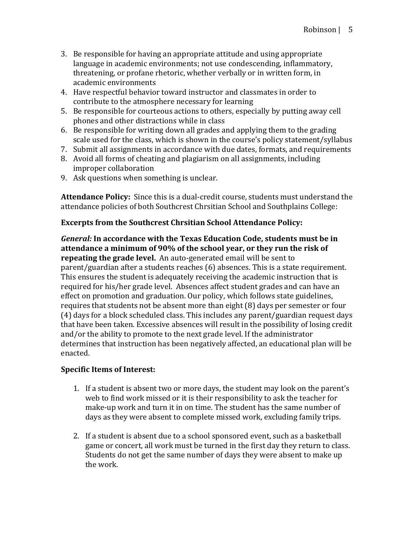- 3. Be responsible for having an appropriate attitude and using appropriate language in academic environments; not use condescending, inflammatory, threatening, or profane rhetoric, whether verbally or in written form, in academic environments
- 4. Have respectful behavior toward instructor and classmates in order to contribute to the atmosphere necessary for learning
- 5. Be responsible for courteous actions to others, especially by putting away cell phones and other distractions while in class
- 6. Be responsible for writing down all grades and applying them to the grading scale used for the class, which is shown in the course's policy statement/syllabus
- 7. Submit all assignments in accordance with due dates, formats, and requirements
- 8. Avoid all forms of cheating and plagiarism on all assignments, including improper collaboration
- 9. Ask questions when something is unclear.

Attendance Policy: Since this is a dual-credit course, students must understand the attendance policies of both Southcrest Chrsitian School and Southplains College:

# **Excerpts from the Southcrest Chrsitian School Attendance Policy:**

*General:* In accordance with the Texas Education Code, students must be in attendance a minimum of 90% of the school year, or they run the risk of **repeating the grade level.** An auto-generated email will be sent to parent/guardian after a students reaches (6) absences. This is a state requirement. This ensures the student is adequately receiving the academic instruction that is required for his/her grade level. Absences affect student grades and can have an effect on promotion and graduation. Our policy, which follows state guidelines, requires that students not be absent more than eight (8) days per semester or four (4) days for a block scheduled class. This includes any parent/guardian request days that have been taken. Excessive absences will result in the possibility of losing credit and/or the ability to promote to the next grade level. If the administrator determines that instruction has been negatively affected, an educational plan will be enacted.

### **Specific Items of Interest:**

- 1. If a student is absent two or more days, the student may look on the parent's web to find work missed or it is their responsibility to ask the teacher for make-up work and turn it in on time. The student has the same number of days as they were absent to complete missed work, excluding family trips.
- 2. If a student is absent due to a school sponsored event, such as a basketball game or concert, all work must be turned in the first day they return to class. Students do not get the same number of days they were absent to make up the work.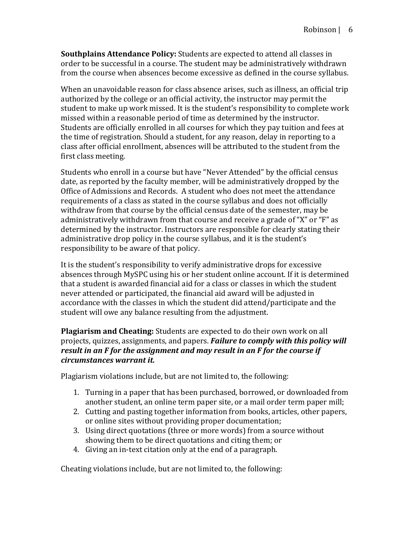**Southplains Attendance Policy:** Students are expected to attend all classes in order to be successful in a course. The student may be administratively withdrawn from the course when absences become excessive as defined in the course syllabus.

When an unavoidable reason for class absence arises, such as illness, an official trip authorized by the college or an official activity, the instructor may permit the student to make up work missed. It is the student's responsibility to complete work missed within a reasonable period of time as determined by the instructor. Students are officially enrolled in all courses for which they pay tuition and fees at the time of registration. Should a student, for any reason, delay in reporting to a class after official enrollment, absences will be attributed to the student from the first class meeting.

Students who enroll in a course but have "Never Attended" by the official census date, as reported by the faculty member, will be administratively dropped by the Office of Admissions and Records. A student who does not meet the attendance requirements of a class as stated in the course syllabus and does not officially withdraw from that course by the official census date of the semester, may be administratively withdrawn from that course and receive a grade of "X" or "F" as determined by the instructor. Instructors are responsible for clearly stating their administrative drop policy in the course syllabus, and it is the student's responsibility to be aware of that policy.

It is the student's responsibility to verify administrative drops for excessive absences through MySPC using his or her student online account. If it is determined that a student is awarded financial aid for a class or classes in which the student never attended or participated, the financial aid award will be adjusted in accordance with the classes in which the student did attend/participate and the student will owe any balance resulting from the adjustment.

**Plagiarism and Cheating:** Students are expected to do their own work on all projects, quizzes, assignments, and papers. **Failure to comply with this policy will** *result in an F for the assignment and may result in an F for the course if circumstances warrant it.*

Plagiarism violations include, but are not limited to, the following:

- 1. Turning in a paper that has been purchased, borrowed, or downloaded from another student, an online term paper site, or a mail order term paper mill;
- 2. Cutting and pasting together information from books, articles, other papers, or online sites without providing proper documentation;
- 3. Using direct quotations (three or more words) from a source without showing them to be direct quotations and citing them; or
- 4. Giving an in-text citation only at the end of a paragraph.

Cheating violations include, but are not limited to, the following: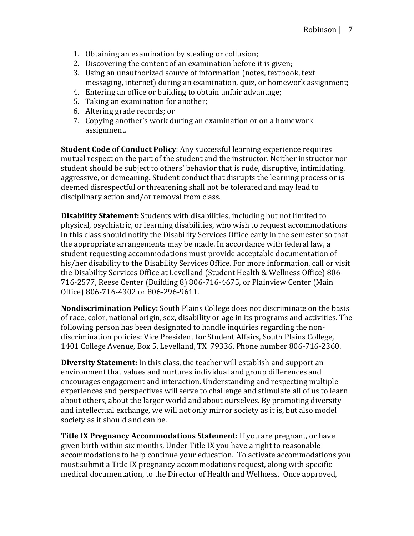- 1. Obtaining an examination by stealing or collusion;
- 2. Discovering the content of an examination before it is given;
- 3. Using an unauthorized source of information (notes, textbook, text messaging, internet) during an examination, quiz, or homework assignment;
- 4. Entering an office or building to obtain unfair advantage;
- 5. Taking an examination for another;
- 6. Altering grade records; or
- 7. Copying another's work during an examination or on a homework assignment.

**Student Code of Conduct Policy:** Any successful learning experience requires mutual respect on the part of the student and the instructor. Neither instructor nor student should be subject to others' behavior that is rude, disruptive, intimidating, aggressive, or demeaning. Student conduct that disrupts the learning process or is deemed disrespectful or threatening shall not be tolerated and may lead to disciplinary action and/or removal from class.

**Disability Statement:** Students with disabilities, including but not limited to physical, psychiatric, or learning disabilities, who wish to request accommodations in this class should notify the Disability Services Office early in the semester so that the appropriate arrangements may be made. In accordance with federal law, a student requesting accommodations must provide acceptable documentation of his/her disability to the Disability Services Office. For more information, call or visit the Disability Services Office at Levelland (Student Health & Wellness Office) 806-716-2577, Reese Center (Building 8) 806-716-4675, or Plainview Center (Main Office) 806-716-4302 or 806-296-9611.

**Nondiscrimination Policy:** South Plains College does not discriminate on the basis of race, color, national origin, sex, disability or age in its programs and activities. The following person has been designated to handle inquiries regarding the nondiscrimination policies: Vice President for Student Affairs, South Plains College, 1401 College Avenue, Box 5, Levelland, TX 79336. Phone number 806-716-2360.

**Diversity Statement:** In this class, the teacher will establish and support an environment that values and nurtures individual and group differences and encourages engagement and interaction. Understanding and respecting multiple experiences and perspectives will serve to challenge and stimulate all of us to learn about others, about the larger world and about ourselves. By promoting diversity and intellectual exchange, we will not only mirror society as it is, but also model society as it should and can be.

**Title IX Pregnancy Accommodations Statement:** If you are pregnant, or have given birth within six months, Under Title IX you have a right to reasonable accommodations to help continue your education. To activate accommodations you must submit a Title IX pregnancy accommodations request, along with specific medical documentation, to the Director of Health and Wellness. Once approved,